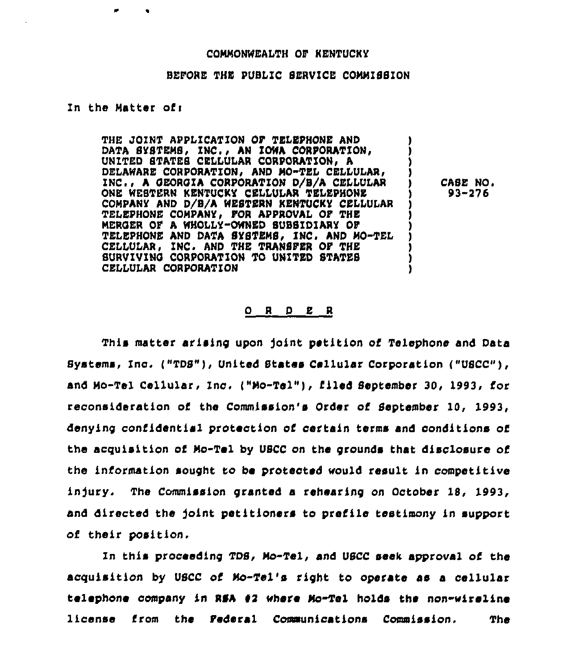#### COMMONWEALTH OF KENTUCKY

## BEFORE THE PUBLIC SERVICE COMMISSION

### In the Matter of:

THE JOINT APPLICATION OF TELEPHONE AND DATA SYSTEMS, INC., AN IOWA CORPORATION, UNITED STATES CELLULAR CORPORATION, A DELAWARE CORPORATION, AND MO-TEL CELLULAR, INC., A GEORGIA CORPORATION D/B/A CELLULAR ONE WESTERN KENTUCKY CELLULAR TELEPHONE COMPANY AND D/B/A WESTERN KENTUCKY CELLULAR TELEPHONE COMPANY, FOR APPROVAL OF THE MERGER OF A WHOLLY-OWNED SUBSIDIARY OF TELEPHONE AND DATA SYSTEMS. INC. AND MO-TEL CELLULAR, INC. AND THE TRANSFER OF THE SURVIVING CORPORATION TO UNITED STATES CELLULAR CORPORATION

CASE NO.  $93 - 276$ 

### ORDER

This matter arising upon joint petition of Telephone and Data Systems, Inc. ("TDS"), United States Cellular Corporation ("USCC"), and Mo-Tel Cellular, Inc. ("Mo-Tel"), filed September 30, 1993, for reconsideration of the Commission's Order of September 10, 1993, denying confidential protection of certain terms and conditions of the acquisition of Mo-Tel by USCC on the grounds that disclosure of the information sought to be protected would result in competitive injury. The Commission granted a rehearing on October 18, 1993, and directed the joint petitioners to prefile testimony in support of their position.

In this proceeding TDS, Mo-Tel, and USCC seek approval of the acquisition by USCC of Mo-Tel's right to operate as a cellular telephone company in RSA #2 where Mo-Tel holds the non-wireline license from the Pederal Communications Commission. **The**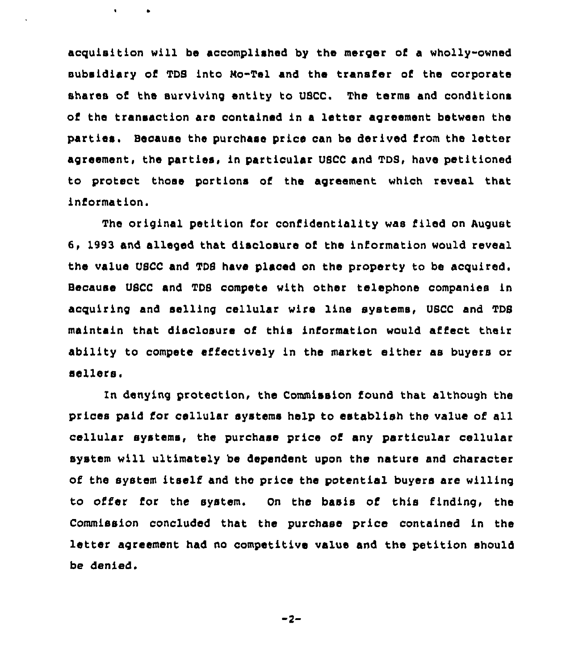acquisition will be accomplished by the merger of a wholly-owned subsidiary of TDS into Ro-Tel and the transfer of the corporate shares of the surviving entity to USCC. The terms and conditions of the transaction are contained in a letter agreement between the parties. Because the purchase price can be derived from the letter agreement, the parties, in particular USCC and TDS, have petitioned to protect those portions of the agreement which reveal that information.

 $\mathbf{r}$ 

The original petition for confidentiality was filed on August 6, 1993 and alleged that disclosure of the information would reveal the value USCC and TDS have placed on the property to be acquired. Because USCC and TDS compete with other telephone companies in acquiring and selling cellular wire line systems, USCC and TDS maintain that disclosure of this information would affect their ability to compete effectively in the market either as buyers or sellers.

ln denying protection, the Commission found that although the prices paid for cellular systems help to establish the value of all cellular systems, the purchase price of any particular cellular system will ultimately be dependent upon the nature and character of the system itself and the price the potential buyers are willing to offer for the system. On the basis of this finding, the Commission concluded that the purchase price contained in the letter agreement had no competitive value and the petition should be denied.

$$
-2-
$$